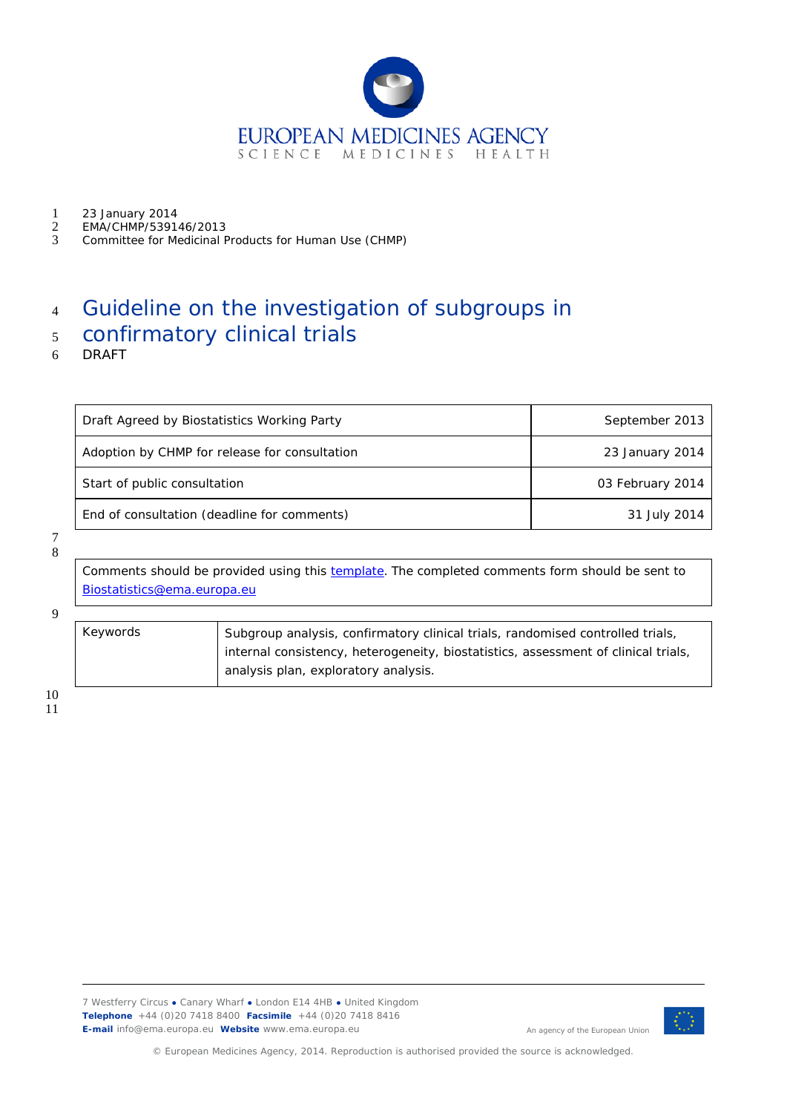

- 1 23 January 2014<br>2 EMA/CHMP/5391
- 2 EMA/CHMP/539146/2013<br>3 Committee for Medicinal F
- 3 Committee for Medicinal Products for Human Use (CHMP)

# <sup>4</sup> Guideline on the investigation of subgroups in

# <sup>5</sup> confirmatory clinical trials

6 DRAFT

| Draft Agreed by Biostatistics Working Party   | September 2013   |
|-----------------------------------------------|------------------|
| Adoption by CHMP for release for consultation | 23 January 2014  |
| Start of public consultation                  | 03 February 2014 |
| End of consultation (deadline for comments)   | 31 July 2014     |

7 8

> Comments should be provided using this **template**. The completed comments form should be sent to [Biostatistics@ema.europa.eu](mailto:Biostatistics@ema.europa.eu)

9

| Keywords | Subgroup analysis, confirmatory clinical trials, randomised controlled trials,     |  |
|----------|------------------------------------------------------------------------------------|--|
|          | internal consistency, heterogeneity, biostatistics, assessment of clinical trials, |  |
|          | analysis plan, exploratory analysis.                                               |  |

10



An agency of the European Union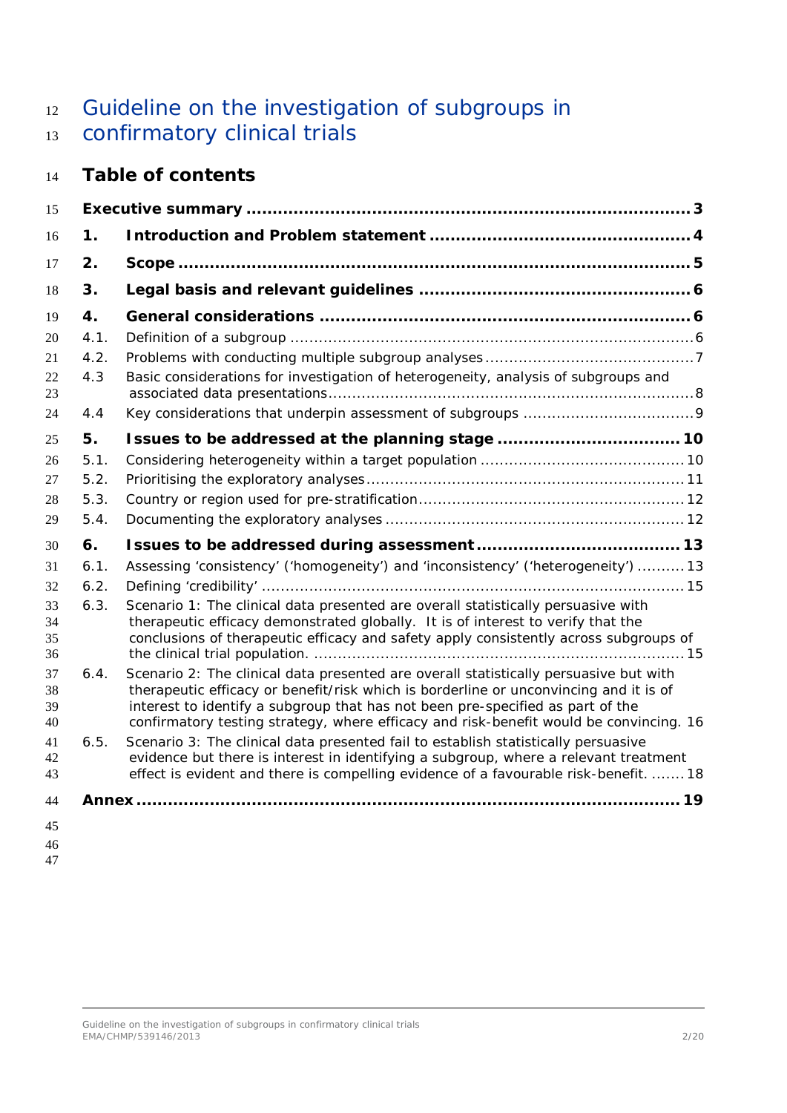# 12 Guideline on the investigation of subgroups in confirmatory clinical trials

# **Table of contents**

| 15                   |      |                                                                                                                                                                                                                                                                                                                                                            |  |
|----------------------|------|------------------------------------------------------------------------------------------------------------------------------------------------------------------------------------------------------------------------------------------------------------------------------------------------------------------------------------------------------------|--|
| 16                   | 1.   |                                                                                                                                                                                                                                                                                                                                                            |  |
| 17                   | 2.   |                                                                                                                                                                                                                                                                                                                                                            |  |
| 18                   | 3.   |                                                                                                                                                                                                                                                                                                                                                            |  |
| 19                   | 4.   |                                                                                                                                                                                                                                                                                                                                                            |  |
| 20                   | 4.1. |                                                                                                                                                                                                                                                                                                                                                            |  |
| 21                   | 4.2. |                                                                                                                                                                                                                                                                                                                                                            |  |
| 22<br>23             | 4.3  | Basic considerations for investigation of heterogeneity, analysis of subgroups and                                                                                                                                                                                                                                                                         |  |
| 24                   | 4.4  |                                                                                                                                                                                                                                                                                                                                                            |  |
| 25                   | 5.   | Issues to be addressed at the planning stage  10                                                                                                                                                                                                                                                                                                           |  |
| 26                   | 5.1. |                                                                                                                                                                                                                                                                                                                                                            |  |
| 27                   | 5.2. |                                                                                                                                                                                                                                                                                                                                                            |  |
| 28                   | 5.3. |                                                                                                                                                                                                                                                                                                                                                            |  |
| 29                   | 5.4. |                                                                                                                                                                                                                                                                                                                                                            |  |
| 30                   | 6.   |                                                                                                                                                                                                                                                                                                                                                            |  |
| 31                   | 6.1. | Assessing 'consistency' ('homogeneity') and 'inconsistency' ('heterogeneity')  13                                                                                                                                                                                                                                                                          |  |
| 32                   | 6.2. |                                                                                                                                                                                                                                                                                                                                                            |  |
| 33<br>34<br>35<br>36 | 6.3. | Scenario 1: The clinical data presented are overall statistically persuasive with<br>therapeutic efficacy demonstrated globally. It is of interest to verify that the<br>conclusions of therapeutic efficacy and safety apply consistently across subgroups of                                                                                             |  |
| 37<br>38<br>39<br>40 | 6.4. | Scenario 2: The clinical data presented are overall statistically persuasive but with<br>therapeutic efficacy or benefit/risk which is borderline or unconvincing and it is of<br>interest to identify a subgroup that has not been pre-specified as part of the<br>confirmatory testing strategy, where efficacy and risk-benefit would be convincing. 16 |  |
| 41<br>42<br>43       | 6.5. | Scenario 3: The clinical data presented fail to establish statistically persuasive<br>evidence but there is interest in identifying a subgroup, where a relevant treatment<br>effect is evident and there is compelling evidence of a favourable risk-benefit.  18                                                                                         |  |
| 44                   |      |                                                                                                                                                                                                                                                                                                                                                            |  |
| 45                   |      |                                                                                                                                                                                                                                                                                                                                                            |  |
| 46                   |      |                                                                                                                                                                                                                                                                                                                                                            |  |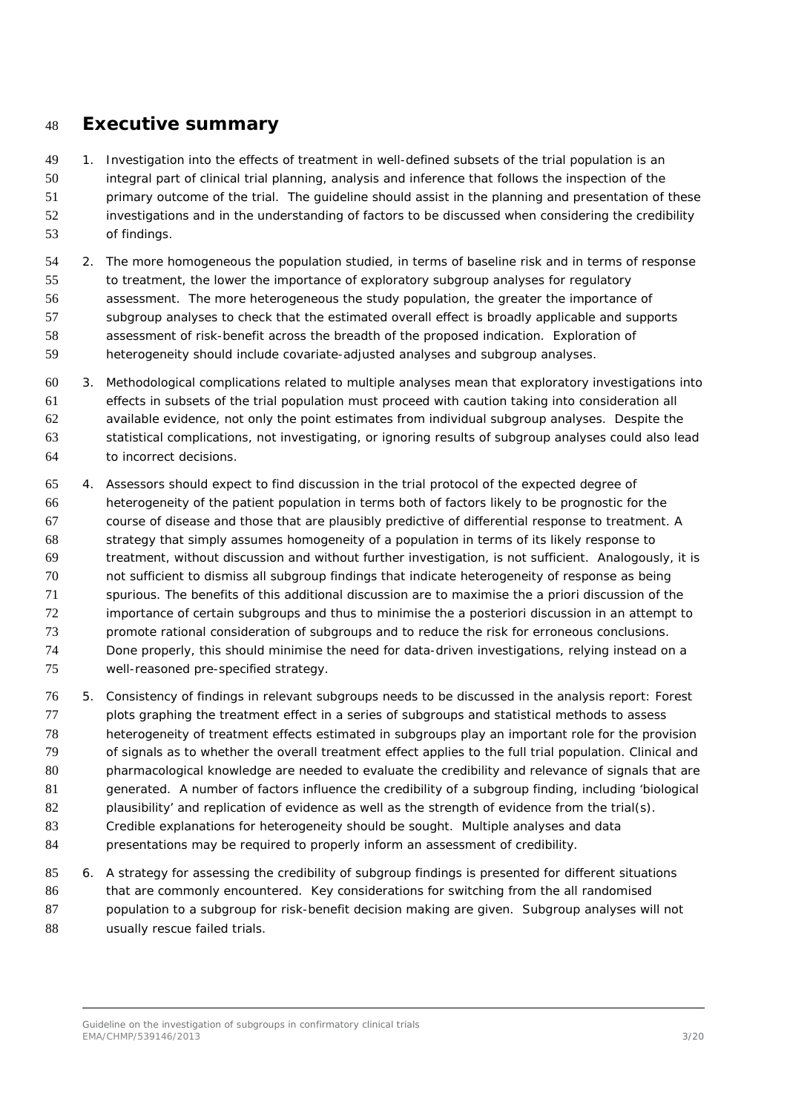### <span id="page-2-0"></span>**Executive summary**

 1. Investigation into the effects of treatment in well-defined subsets of the trial population is an integral part of clinical trial planning, analysis and inference that follows the inspection of the 51 primary outcome of the trial. The quideline should assist in the planning and presentation of these investigations and in the understanding of factors to be discussed when considering the credibility of findings.

 2. The more homogeneous the population studied, in terms of baseline risk and in terms of response to treatment, the lower the importance of exploratory subgroup analyses for regulatory assessment. The more heterogeneous the study population, the greater the importance of subgroup analyses to check that the estimated overall effect is broadly applicable and supports assessment of risk-benefit across the breadth of the proposed indication. Exploration of heterogeneity should include covariate-adjusted analyses and subgroup analyses.

 3. Methodological complications related to multiple analyses mean that exploratory investigations into effects in subsets of the trial population must proceed with caution taking into consideration all available evidence, not only the point estimates from individual subgroup analyses. Despite the statistical complications, not investigating, or ignoring results of subgroup analyses could also lead to incorrect decisions.

 4. Assessors should expect to find discussion in the trial protocol of the expected degree of heterogeneity of the patient population in terms both of factors likely to be prognostic for the course of disease and those that are plausibly predictive of differential response to treatment. A strategy that simply assumes homogeneity of a population in terms of its likely response to treatment, without discussion and without further investigation, is not sufficient. Analogously, it is not sufficient to dismiss all subgroup findings that indicate heterogeneity of response as being spurious. The benefits of this additional discussion are to maximise the *a priori* discussion of the importance of certain subgroups and thus to minimise the *a posteriori* discussion in an attempt to promote rational consideration of subgroups and to reduce the risk for erroneous conclusions. Done properly, this should minimise the need for data-driven investigations, relying instead on a well-reasoned pre-specified strategy.

 5. Consistency of findings in relevant subgroups needs to be discussed in the analysis report: Forest 77 plots graphing the treatment effect in a series of subgroups and statistical methods to assess heterogeneity of treatment effects estimated in subgroups play an important role for the provision of signals as to whether the overall treatment effect applies to the full trial population. Clinical and 80 pharmacological knowledge are needed to evaluate the credibility and relevance of signals that are generated. A number of factors influence the credibility of a subgroup finding, including 'biological 82 plausibility' and replication of evidence as well as the strength of evidence from the trial(s). Credible explanations for heterogeneity should be sought. Multiple analyses and data presentations may be required to properly inform an assessment of credibility.

 6. A strategy for assessing the credibility of subgroup findings is presented for different situations that are commonly encountered. Key considerations for switching from the all randomised population to a subgroup for risk-benefit decision making are given. Subgroup analyses will not 88 usually rescue failed trials.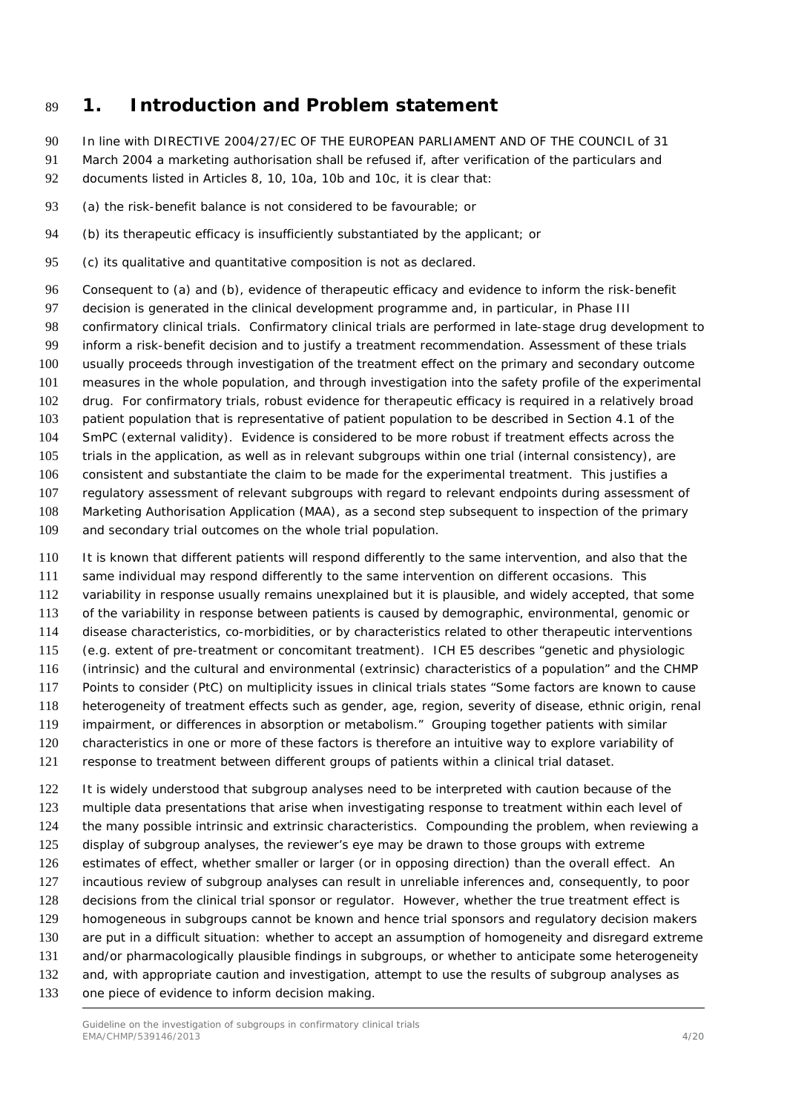## <span id="page-3-0"></span>**1. Introduction and Problem statement**

- In line with DIRECTIVE 2004/27/EC OF THE EUROPEAN PARLIAMENT AND OF THE COUNCIL of 31
- March 2004 a marketing authorisation shall be refused if, after verification of the particulars and
- documents listed in Articles 8, 10, 10a, 10b and 10c, it is clear that:
- (a) the risk-benefit balance is not considered to be favourable; or
- (b) its therapeutic efficacy is insufficiently substantiated by the applicant; or
- (c) its qualitative and quantitative composition is not as declared.
- Consequent to (a) and (b), evidence of therapeutic efficacy and evidence to inform the risk-benefit decision is generated in the clinical development programme and, in particular, in Phase III confirmatory clinical trials. Confirmatory clinical trials are performed in late-stage drug development to inform a risk-benefit decision and to justify a treatment recommendation. Assessment of these trials usually proceeds through investigation of the treatment effect on the primary and secondary outcome measures in the whole population, and through investigation into the safety profile of the experimental drug. For confirmatory trials, robust evidence for therapeutic efficacy is required in a relatively broad patient population that is representative of patient population to be described in Section 4.1 of the SmPC (external validity). Evidence is considered to be more robust if treatment effects across the trials in the application, as well as in relevant subgroups within one trial (internal consistency), are consistent and substantiate the claim to be made for the experimental treatment. This justifies a regulatory assessment of relevant subgroups with regard to relevant endpoints during assessment of Marketing Authorisation Application (MAA), as a second step subsequent to inspection of the primary and secondary trial outcomes on the whole trial population.
- 
- It is known that different patients will respond differently to the same intervention, and also that the
- same individual may respond differently to the same intervention on different occasions. This
- variability in response usually remains unexplained but it is plausible, and widely accepted, that some
- of the variability in response between patients is caused by demographic, environmental, genomic or
- disease characteristics, co-morbidities, or by characteristics related to other therapeutic interventions
- (e.g. extent of pre-treatment or concomitant treatment). ICH E5 describes "genetic and physiologic
- (intrinsic) and the cultural and environmental (extrinsic) characteristics of a population" and the CHMP Points to consider (PtC) on multiplicity issues in clinical trials states "Some factors are known to cause
- heterogeneity of treatment effects such as gender, age, region, severity of disease, ethnic origin, renal
- impairment, or differences in absorption or metabolism." Grouping together patients with similar
- characteristics in one or more of these factors is therefore an intuitive way to explore variability of
- response to treatment between different groups of patients within a clinical trial dataset.

 It is widely understood that subgroup analyses need to be interpreted with caution because of the multiple data presentations that arise when investigating response to treatment within each level of the many possible intrinsic and extrinsic characteristics. Compounding the problem, when reviewing a display of subgroup analyses, the reviewer's eye may be drawn to those groups with extreme estimates of effect, whether smaller or larger (or in opposing direction) than the overall effect. An incautious review of subgroup analyses can result in unreliable inferences and, consequently, to poor decisions from the clinical trial sponsor or regulator. However, whether the true treatment effect is homogeneous in subgroups cannot be known and hence trial sponsors and regulatory decision makers are put in a difficult situation: whether to accept an assumption of homogeneity and disregard extreme and/or pharmacologically plausible findings in subgroups, or whether to anticipate some heterogeneity and, with appropriate caution and investigation, attempt to use the results of subgroup analyses as one piece of evidence to inform decision making.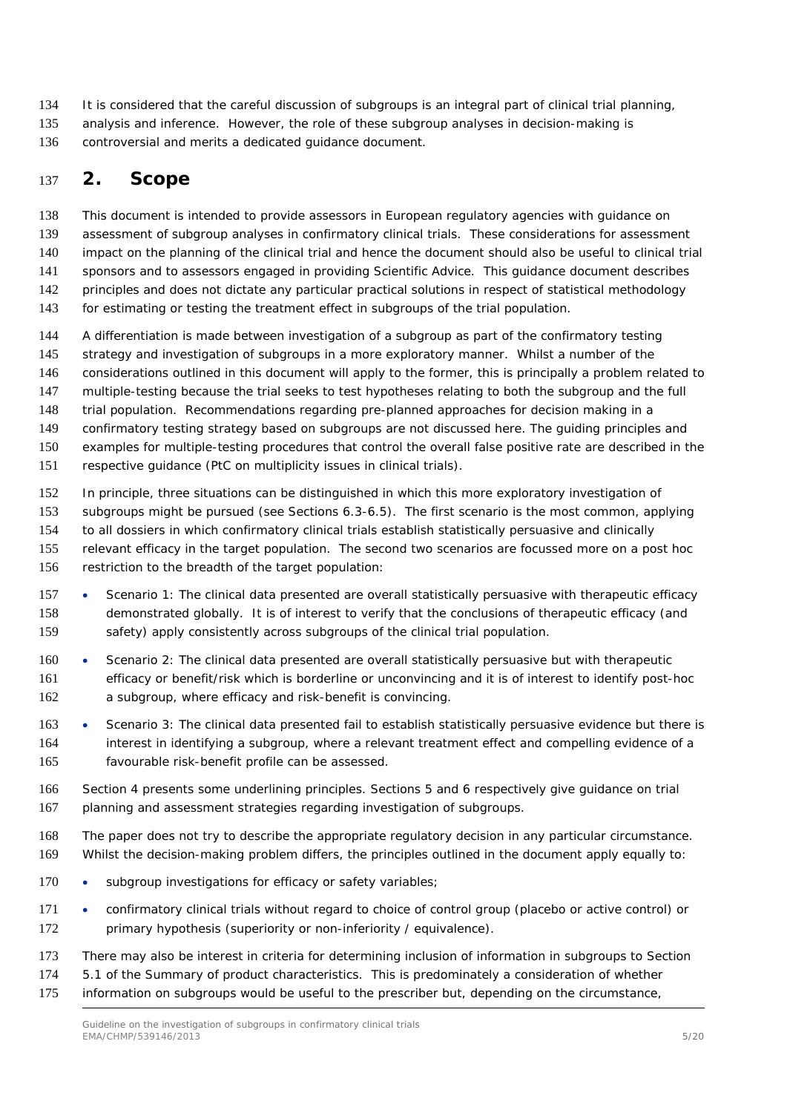- It is considered that the careful discussion of subgroups is an integral part of clinical trial planning,
- analysis and inference. However, the role of these subgroup analyses in decision-making is
- controversial and merits a dedicated guidance document.

# <span id="page-4-0"></span>**2. Scope**

This document is intended to provide assessors in European regulatory agencies with guidance on

- assessment of subgroup analyses in confirmatory clinical trials. These considerations for assessment
- impact on the planning of the clinical trial and hence the document should also be useful to clinical trial
- sponsors and to assessors engaged in providing Scientific Advice. This guidance document describes
- principles and does not dictate any particular practical solutions in respect of statistical methodology
- for estimating or testing the treatment effect in subgroups of the trial population.
- A differentiation is made between investigation of a subgroup as part of the confirmatory testing
- 145 strategy and investigation of subgroups in a more exploratory manner. Whilst a number of the
- considerations outlined in this document will apply to the former, this is principally a problem related to
- multiple-testing because the trial seeks to test hypotheses relating to both the subgroup and the full
- trial population. Recommendations regarding pre-planned approaches for decision making in a
- confirmatory testing strategy based on subgroups are not discussed here. The guiding principles and
- examples for multiple-testing procedures that control the overall false positive rate are described in the
- respective guidance (PtC on multiplicity issues in clinical trials).
- In principle, three situations can be distinguished in which this more exploratory investigation of
- subgroups might be pursued (see Sections 6.3-6.5). The first scenario is the most common, applying
- to all dossiers in which confirmatory clinical trials establish statistically persuasive and clinically
- relevant efficacy in the target population. The second two scenarios are focussed more on a *post hoc*
- restriction to the breadth of the target population:
- 157 Scenario 1: The clinical data presented are overall statistically persuasive with therapeutic efficacy demonstrated globally. It is of interest to verify that the conclusions of therapeutic efficacy (and safety) apply consistently across subgroups of the clinical trial population.
- Scenario 2: The clinical data presented are overall statistically persuasive but with therapeutic efficacy or benefit/risk which is borderline or unconvincing and it is of interest to identify post-hoc a subgroup, where efficacy and risk-benefit is convincing.
- Scenario 3: The clinical data presented fail to establish statistically persuasive evidence but there is interest in identifying a subgroup, where a relevant treatment effect and compelling evidence of a favourable risk-benefit profile can be assessed.
- Section 4 presents some underlining principles. Sections 5 and 6 respectively give guidance on trial planning and assessment strategies regarding investigation of subgroups.
- The paper does not try to describe the appropriate regulatory decision in any particular circumstance. Whilst the decision-making problem differs, the principles outlined in the document apply equally to:
- 170 subgroup investigations for efficacy or safety variables;
- confirmatory clinical trials without regard to choice of control group (placebo or active control) or 172 primary hypothesis (superiority or non-inferiority / equivalence).
- There may also be interest in criteria for determining inclusion of information in subgroups to Section
- 5.1 of the Summary of product characteristics. This is predominately a consideration of whether
- information on subgroups would be useful to the prescriber but, depending on the circumstance,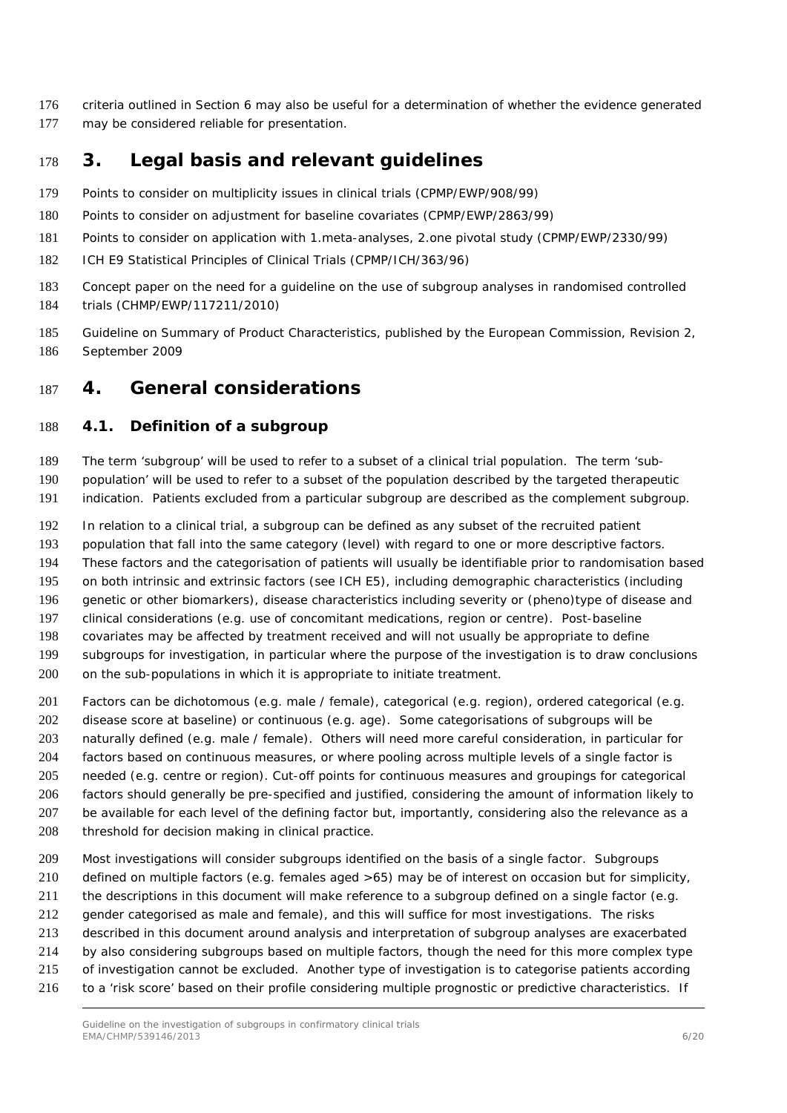- criteria outlined in Section 6 may also be useful for a determination of whether the evidence generated may be considered reliable for presentation.
- <span id="page-5-0"></span>**3. Legal basis and relevant guidelines**
- Points to consider on multiplicity issues in clinical trials (CPMP/EWP/908/99)
- Points to consider on adjustment for baseline covariates (CPMP/EWP/2863/99)
- Points to consider on application with 1.meta-analyses, 2.one pivotal study (CPMP/EWP/2330/99)
- ICH E9 Statistical Principles of Clinical Trials (CPMP/ICH/363/96)
- Concept paper on the need for a guideline on the use of subgroup analyses in randomised controlled trials (CHMP/EWP/117211/2010)
- Guideline on Summary of Product Characteristics, published by the European Commission, Revision 2, September 2009

## <span id="page-5-1"></span>**4. General considerations**

#### <span id="page-5-2"></span>*4.1. Definition of a subgroup*

The term 'subgroup' will be used to refer to a subset of a clinical trial population. The term 'sub-

- population' will be used to refer to a subset of the population described by the targeted therapeutic
- indication. Patients excluded from a particular subgroup are described as the complement subgroup.
- In relation to a clinical trial, a subgroup can be defined as any subset of the recruited patient
- population that fall into the same category (level) with regard to one or more descriptive factors.
- These factors and the categorisation of patients will usually be identifiable prior to randomisation based
- on both intrinsic and extrinsic factors (see ICH E5), including demographic characteristics (including
- genetic or other biomarkers), disease characteristics including severity or (pheno)type of disease and
- clinical considerations (e.g. use of concomitant medications, region or centre). Post-baseline
- covariates may be affected by treatment received and will not usually be appropriate to define
- subgroups for investigation, in particular where the purpose of the investigation is to draw conclusions
- 200 on the sub-populations in which it is appropriate to initiate treatment.
- Factors can be dichotomous (e.g. male / female), categorical (e.g. region), ordered categorical (e.g.
- disease score at baseline) or continuous (e.g. age). Some categorisations of subgroups will be
- naturally defined (e.g. male / female). Others will need more careful consideration, in particular for
- factors based on continuous measures, or where pooling across multiple levels of a single factor is
- needed (e.g. centre or region). Cut-off points for continuous measures and groupings for categorical
- factors should generally be pre-specified and justified, considering the amount of information likely to
- be available for each level of the defining factor but, importantly, considering also the relevance as a
- 208 threshold for decision making in clinical practice.
- Most investigations will consider subgroups identified on the basis of a single factor. Subgroups
- defined on multiple factors (e.g. females aged >65) may be of interest on occasion but for simplicity,
- the descriptions in this document will make reference to a subgroup defined on a single factor (e.g.
- gender categorised as male and female), and this will suffice for most investigations. The risks
- described in this document around analysis and interpretation of subgroup analyses are exacerbated
- by also considering subgroups based on multiple factors, though the need for this more complex type
- of investigation cannot be excluded. Another type of investigation is to categorise patients according
- to a 'risk score' based on their profile considering multiple prognostic or predictive characteristics. If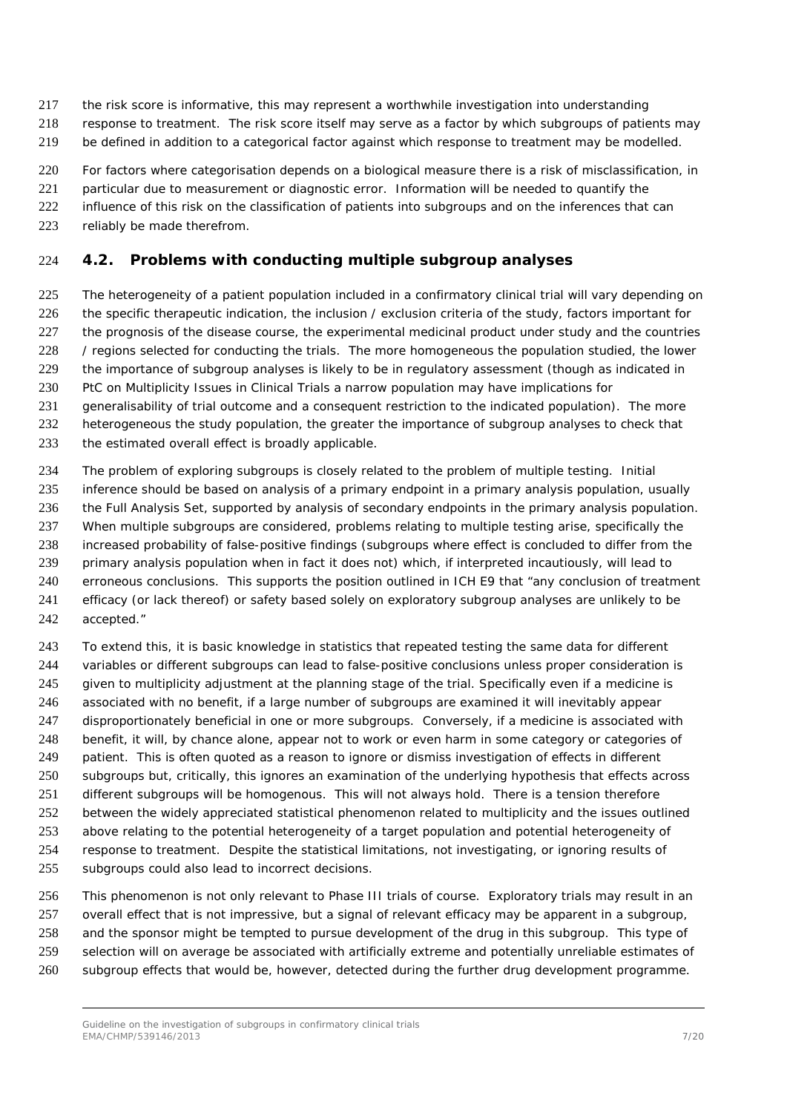- the risk score is informative, this may represent a worthwhile investigation into understanding
- response to treatment. The risk score itself may serve as a factor by which subgroups of patients may
- be defined in addition to a categorical factor against which response to treatment may be modelled.
- For factors where categorisation depends on a biological measure there is a risk of misclassification, in
- 221 particular due to measurement or diagnostic error. Information will be needed to quantify the
- 222 influence of this risk on the classification of patients into subgroups and on the inferences that can
- 223 reliably be made therefrom.

#### <span id="page-6-0"></span>*4.2. Problems with conducting multiple subgroup analyses*

- The heterogeneity of a patient population included in a confirmatory clinical trial will vary depending on 226 the specific therapeutic indication, the inclusion / exclusion criteria of the study, factors important for the prognosis of the disease course, the experimental medicinal product under study and the countries / regions selected for conducting the trials. The more homogeneous the population studied, the lower the importance of subgroup analyses is likely to be in regulatory assessment (though as indicated in PtC on Multiplicity Issues in Clinical Trials a narrow population may have implications for generalisability of trial outcome and a consequent restriction to the indicated population). The more
- heterogeneous the study population, the greater the importance of subgroup analyses to check that
- 233 the estimated overall effect is broadly applicable.
- The problem of exploring subgroups is closely related to the problem of multiple testing. Initial
- inference should be based on analysis of a primary endpoint in a primary analysis population, usually
- the Full Analysis Set, supported by analysis of secondary endpoints in the primary analysis population.
- 237 When multiple subgroups are considered, problems relating to multiple testing arise, specifically the
- increased probability of false-positive findings (subgroups where effect is concluded to differ from the primary analysis population when in fact it does not) which, if interpreted incautiously, will lead to
- erroneous conclusions. This supports the position outlined in ICH E9 that "any conclusion of treatment
- efficacy (or lack thereof) or safety based solely on exploratory subgroup analyses are unlikely to be accepted."
- To extend this, it is basic knowledge in statistics that repeated testing the same data for different
- variables or different subgroups can lead to false-positive conclusions unless proper consideration is
- 245 given to multiplicity adjustment at the planning stage of the trial. Specifically even if a medicine is associated with no benefit, if a large number of subgroups are examined it will inevitably appear
- disproportionately beneficial in one or more subgroups. Conversely, if a medicine is associated with
- benefit, it will, by chance alone, appear not to work or even harm in some category or categories of
- patient. This is often quoted as a reason to ignore or dismiss investigation of effects in different
- subgroups but, critically, this ignores an examination of the underlying hypothesis that effects across different subgroups will be homogenous. This will not always hold. There is a tension therefore
- between the widely appreciated statistical phenomenon related to multiplicity and the issues outlined
- above relating to the potential heterogeneity of a target population and potential heterogeneity of
- response to treatment. Despite the statistical limitations, not investigating, or ignoring results of
- subgroups could also lead to incorrect decisions.
- This phenomenon is not only relevant to Phase III trials of course. Exploratory trials may result in an overall effect that is not impressive, but a signal of relevant efficacy may be apparent in a subgroup, and the sponsor might be tempted to pursue development of the drug in this subgroup. This type of selection will on average be associated with artificially extreme and potentially unreliable estimates of subgroup effects that would be, however, detected during the further drug development programme.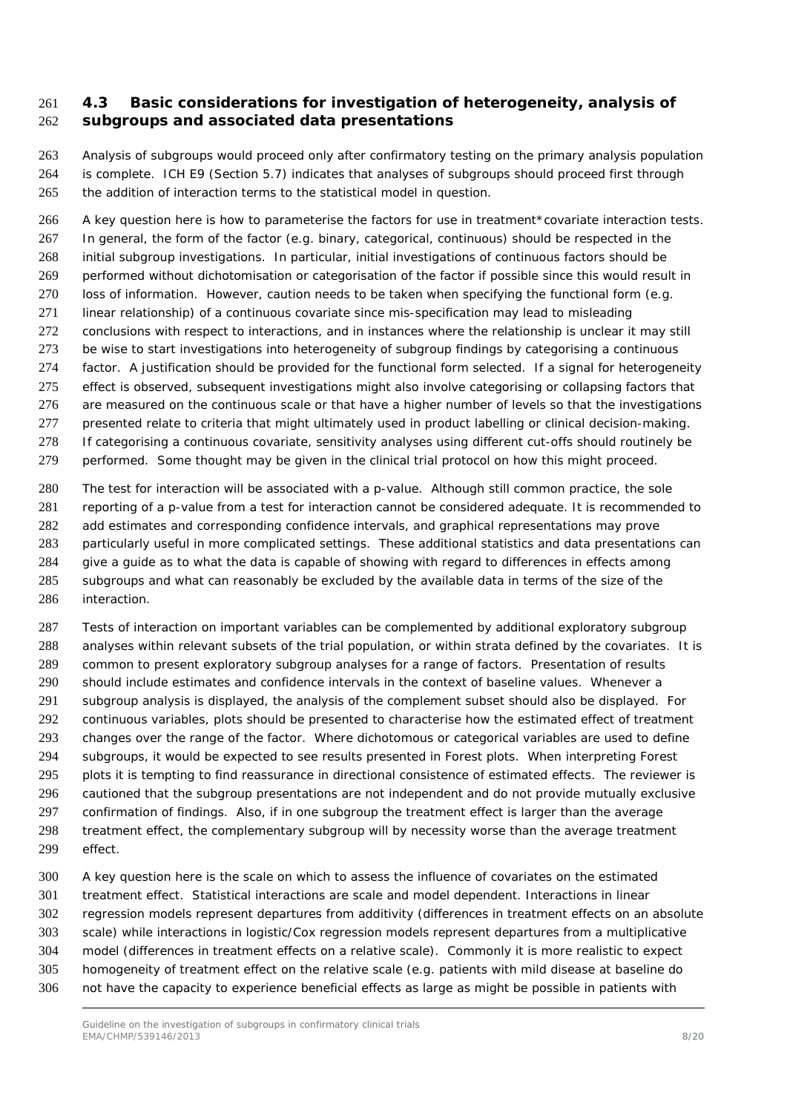#### <span id="page-7-0"></span> *4.3 Basic considerations for investigation of heterogeneity, analysis of subgroups and associated data presentations*

 Analysis of subgroups would proceed only after confirmatory testing on the primary analysis population is complete. ICH E9 (Section 5.7) indicates that analyses of subgroups should proceed first through the addition of interaction terms to the statistical model in question.

 A key question here is how to parameterise the factors for use in treatment\*covariate interaction tests. In general, the form of the factor (e.g. binary, categorical, continuous) should be respected in the initial subgroup investigations. In particular, initial investigations of continuous factors should be performed without dichotomisation or categorisation of the factor if possible since this would result in loss of information. However, caution needs to be taken when specifying the functional form (e.g. linear relationship) of a continuous covariate since mis-specification may lead to misleading conclusions with respect to interactions, and in instances where the relationship is unclear it may still 273 be wise to start investigations into heterogeneity of subgroup findings by categorising a continuous factor. A justification should be provided for the functional form selected. If a signal for heterogeneity effect is observed, subsequent investigations might also involve categorising or collapsing factors that are measured on the continuous scale or that have a higher number of levels so that the investigations presented relate to criteria that might ultimately used in product labelling or clinical decision-making. If categorising a continuous covariate, sensitivity analyses using different cut-offs should routinely be 279 performed. Some thought may be given in the clinical trial protocol on how this might proceed.

 The test for interaction will be associated with a p-value. Although still common practice, the sole reporting of a p-value from a test for interaction cannot be considered adequate. It is recommended to add estimates and corresponding confidence intervals, and graphical representations may prove particularly useful in more complicated settings. These additional statistics and data presentations can give a guide as to what the data is capable of showing with regard to differences in effects among subgroups and what can reasonably be excluded by the available data in terms of the size of the interaction.

 Tests of interaction on important variables can be complemented by additional exploratory subgroup analyses within relevant subsets of the trial population, or within strata defined by the covariates. It is common to present exploratory subgroup analyses for a range of factors. Presentation of results should include estimates and confidence intervals in the context of baseline values. Whenever a subgroup analysis is displayed, the analysis of the complement subset should also be displayed. For continuous variables, plots should be presented to characterise how the estimated effect of treatment changes over the range of the factor. Where dichotomous or categorical variables are used to define subgroups, it would be expected to see results presented in Forest plots. When interpreting Forest plots it is tempting to find reassurance in directional consistence of estimated effects. The reviewer is cautioned that the subgroup presentations are not independent and do not provide mutually exclusive confirmation of findings. Also, if in one subgroup the treatment effect is larger than the average treatment effect, the complementary subgroup will by necessity worse than the average treatment effect.

 A key question here is the scale on which to assess the influence of covariates on the estimated treatment effect. Statistical interactions are scale and model dependent. Interactions in linear regression models represent departures from additivity (differences in treatment effects on an absolute scale) while interactions in logistic/Cox regression models represent departures from a multiplicative model (differences in treatment effects on a relative scale). Commonly it is more realistic to expect homogeneity of treatment effect on the relative scale (e.g. patients with mild disease at baseline do not have the capacity to experience beneficial effects as large as might be possible in patients with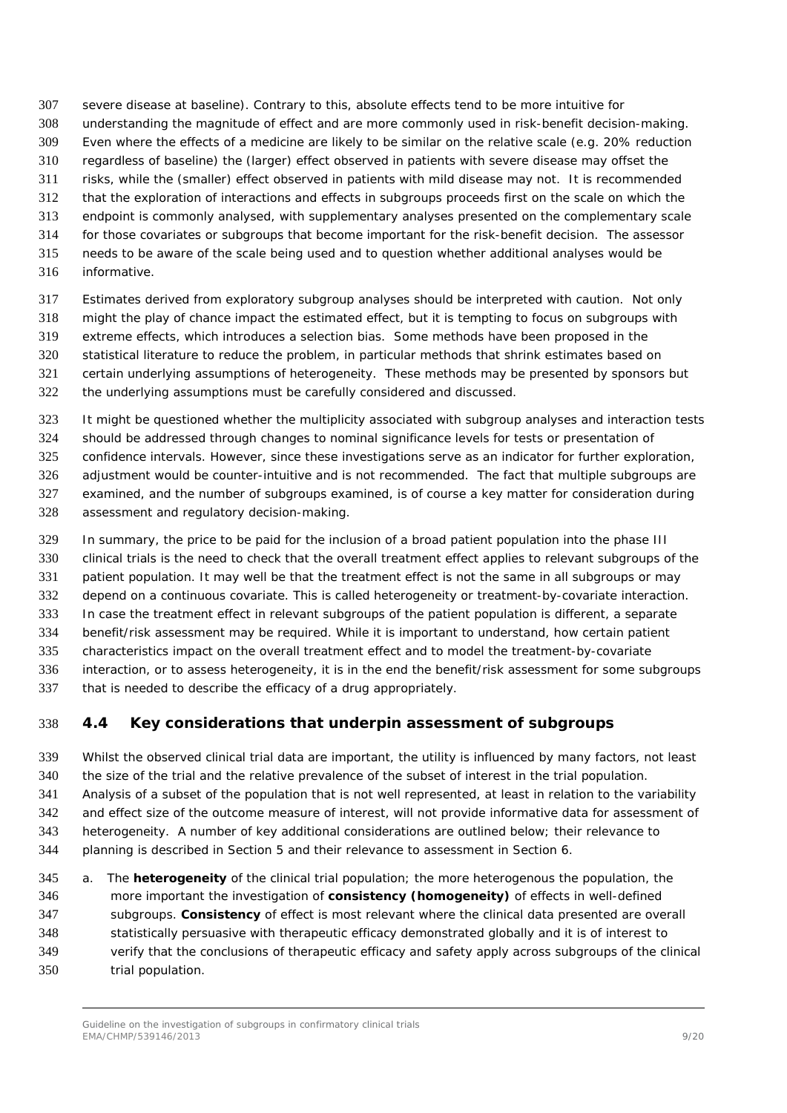severe disease at baseline). Contrary to this, absolute effects tend to be more intuitive for

- understanding the magnitude of effect and are more commonly used in risk-benefit decision-making.
- Even where the effects of a medicine are likely to be similar on the relative scale (e.g. 20% reduction
- regardless of baseline) the (larger) effect observed in patients with severe disease may offset the
- risks, while the (smaller) effect observed in patients with mild disease may not. It is recommended
- that the exploration of interactions and effects in subgroups proceeds first on the scale on which the
- endpoint is commonly analysed, with supplementary analyses presented on the complementary scale for those covariates or subgroups that become important for the risk-benefit decision. The assessor
- needs to be aware of the scale being used and to question whether additional analyses would be
- informative.
- Estimates derived from exploratory subgroup analyses should be interpreted with caution. Not only
- might the play of chance impact the estimated effect, but it is tempting to focus on subgroups with
- extreme effects, which introduces a selection bias. Some methods have been proposed in the
- statistical literature to reduce the problem, in particular methods that shrink estimates based on certain underlying assumptions of heterogeneity. These methods may be presented by sponsors but
- the underlying assumptions must be carefully considered and discussed.
- It might be questioned whether the multiplicity associated with subgroup analyses and interaction tests
- should be addressed through changes to nominal significance levels for tests or presentation of
- confidence intervals. However, since these investigations serve as an indicator for further exploration,
- adjustment would be counter-intuitive and is not recommended. The fact that multiple subgroups are
- examined, and the number of subgroups examined, is of course a key matter for consideration during
- assessment and regulatory decision-making.
- In summary, the price to be paid for the inclusion of a broad patient population into the phase III
- clinical trials is the need to check that the overall treatment effect applies to relevant subgroups of the
- patient population. It may well be that the treatment effect is not the same in all subgroups or may
- depend on a continuous covariate. This is called heterogeneity or treatment-by-covariate interaction.
- In case the treatment effect in relevant subgroups of the patient population is different, a separate
- benefit/risk assessment may be required. While it is important to understand, how certain patient
- characteristics impact on the overall treatment effect and to model the treatment-by-covariate interaction, or to assess heterogeneity, it is in the end the benefit/risk assessment for some subgroups
- that is needed to describe the efficacy of a drug appropriately.
- 

# <span id="page-8-0"></span>*4.4 Key considerations that underpin assessment of subgroups*

- Whilst the observed clinical trial data are important, the utility is influenced by many factors, not least the size of the trial and the relative prevalence of the subset of interest in the trial population. Analysis of a subset of the population that is not well represented, at least in relation to the variability 342 and effect size of the outcome measure of interest, will not provide informative data for assessment of heterogeneity. A number of key additional considerations are outlined below; their relevance to planning is described in Section 5 and their relevance to assessment in Section 6.
- a. The **heterogeneity** of the clinical trial population; the more heterogenous the population, the more important the investigation of **consistency (homogeneity)** of effects in well-defined subgroups. **Consistency** of effect is most relevant where the clinical data presented are overall statistically persuasive with therapeutic efficacy demonstrated globally and it is of interest to verify that the conclusions of therapeutic efficacy and safety apply across subgroups of the clinical trial population.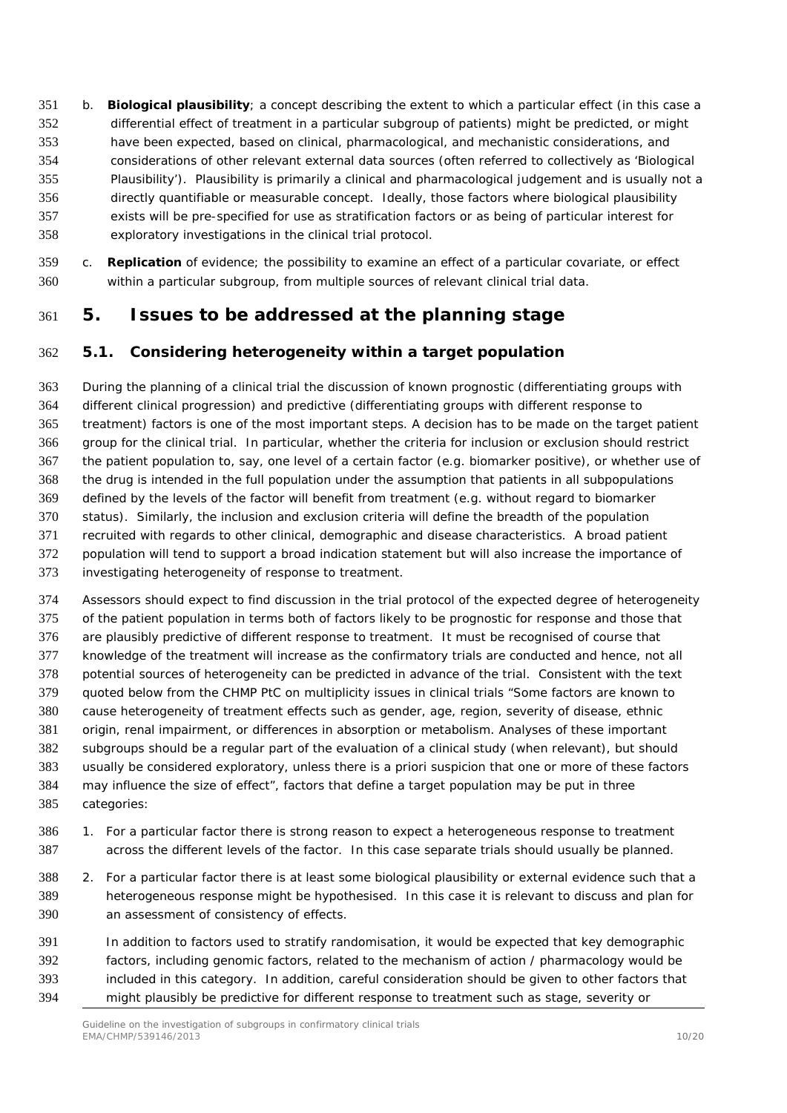- b. **Biological plausibility**; a concept describing the extent to which a particular effect (in this case a differential effect of treatment in a particular subgroup of patients) might be predicted, or might have been expected, based on clinical, pharmacological, and mechanistic considerations, and considerations of other relevant external data sources (often referred to collectively as 'Biological Plausibility'). Plausibility is primarily a clinical and pharmacological judgement and is usually not a directly quantifiable or measurable concept. Ideally, those factors where biological plausibility exists will be pre-specified for use as stratification factors or as being of particular interest for exploratory investigations in the clinical trial protocol.
- c. **Replication** of evidence; the possibility to examine an effect of a particular covariate, or effect within a particular subgroup, from multiple sources of relevant clinical trial data.

## <span id="page-9-0"></span>**5. Issues to be addressed at the planning stage**

#### <span id="page-9-1"></span>*5.1. Considering heterogeneity within a target population*

 During the planning of a clinical trial the discussion of known prognostic (differentiating groups with different clinical progression) and predictive (differentiating groups with different response to treatment) factors is one of the most important steps. A decision has to be made on the target patient group for the clinical trial. In particular, whether the criteria for inclusion or exclusion should restrict the patient population to, say, one level of a certain factor (e.g. biomarker positive), or whether use of the drug is intended in the full population under the assumption that patients in all subpopulations defined by the levels of the factor will benefit from treatment (e.g. without regard to biomarker status). Similarly, the inclusion and exclusion criteria will define the breadth of the population recruited with regards to other clinical, demographic and disease characteristics. A broad patient population will tend to support a broad indication statement but will also increase the importance of investigating heterogeneity of response to treatment.

- Assessors should expect to find discussion in the trial protocol of the expected degree of heterogeneity of the patient population in terms both of factors likely to be prognostic for response and those that are plausibly predictive of different response to treatment. It must be recognised of course that knowledge of the treatment will increase as the confirmatory trials are conducted and hence, not all potential sources of heterogeneity can be predicted in advance of the trial. Consistent with the text quoted below from the CHMP PtC on multiplicity issues in clinical trials *"Some factors are known to cause heterogeneity of treatment effects such as gender, age, region, severity of disease, ethnic origin, renal impairment, or differences in absorption or metabolism. Analyses of these important subgroups should be a regular part of the evaluation of a clinical study (when relevant), but should usually be considered exploratory, unless there is a priori suspicion that one or more of these factors may influence the size of effect"*, factors that define a target population may be put in three categories:
- 1. For a particular factor there is strong reason to expect a heterogeneous response to treatment across the different levels of the factor. In this case separate trials should usually be planned.
- 2. For a particular factor there is at least some biological plausibility or external evidence such that a heterogeneous response might be hypothesised. In this case it is relevant to discuss and plan for an assessment of consistency of effects.
- In addition to factors used to stratify randomisation, it would be expected that key demographic factors, including genomic factors, related to the mechanism of action / pharmacology would be included in this category. In addition, careful consideration should be given to other factors that might plausibly be predictive for different response to treatment such as stage, severity or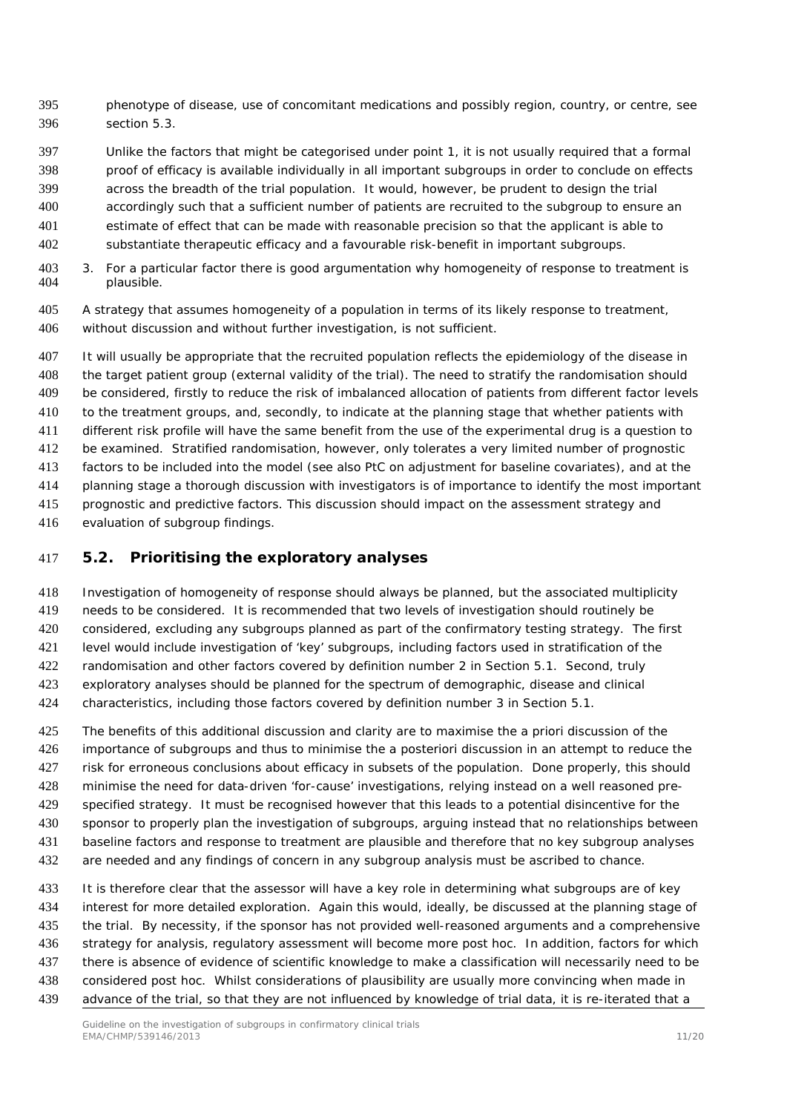- phenotype of disease, use of concomitant medications and possibly region, country, or centre, see section 5.3.
- Unlike the factors that might be categorised under point 1, it is not usually required that a formal
- proof of efficacy is available individually in all important subgroups in order to conclude on effects
- across the breadth of the trial population. It would, however, be prudent to design the trial
- accordingly such that a sufficient number of patients are recruited to the subgroup to ensure an
- estimate of effect that can be made with reasonable precision so that the applicant is able to
- substantiate therapeutic efficacy and a favourable risk-benefit in important subgroups.
- 3. For a particular factor there is good argumentation why homogeneity of response to treatment is plausible.
- A strategy that assumes homogeneity of a population in terms of its likely response to treatment, without discussion and without further investigation, is not sufficient.
- It will usually be appropriate that the recruited population reflects the epidemiology of the disease in the target patient group (external validity of the trial). The need to stratify the randomisation should be considered, firstly to reduce the risk of imbalanced allocation of patients from different factor levels to the treatment groups, and, secondly, to indicate at the planning stage that whether patients with different risk profile will have the same benefit from the use of the experimental drug is a question to be examined. Stratified randomisation, however, only tolerates a very limited number of prognostic factors to be included into the model (see also PtC on adjustment for baseline covariates), and at the planning stage a thorough discussion with investigators is of importance to identify the most important prognostic and predictive factors. This discussion should impact on the assessment strategy and
- evaluation of subgroup findings.

#### <span id="page-10-0"></span>*5.2. Prioritising the exploratory analyses*

 Investigation of homogeneity of response should always be planned, but the associated multiplicity needs to be considered. It is recommended that two levels of investigation should routinely be considered, excluding any subgroups planned as part of the confirmatory testing strategy. The first level would include investigation of 'key' subgroups, including factors used in stratification of the randomisation and other factors covered by definition number 2 in Section 5.1. Second, truly exploratory analyses should be planned for the spectrum of demographic, disease and clinical characteristics, including those factors covered by definition number 3 in Section 5.1.

- The benefits of this additional discussion and clarity are to maximise the *a priori* discussion of the importance of subgroups and thus to minimise the *a posteriori* discussion in an attempt to reduce the risk for erroneous conclusions about efficacy in subsets of the population. Done properly, this should minimise the need for data-driven 'for-cause' investigations, relying instead on a well reasoned pre- specified strategy. It must be recognised however that this leads to a potential disincentive for the sponsor to properly plan the investigation of subgroups, arguing instead that no relationships between baseline factors and response to treatment are plausible and therefore that no key subgroup analyses are needed and any findings of concern in any subgroup analysis must be ascribed to chance.
- 433 It is therefore clear that the assessor will have a key role in determining what subgroups are of key interest for more detailed exploration. Again this would, ideally, be discussed at the planning stage of the trial. By necessity, if the sponsor has not provided well-reasoned arguments and a comprehensive strategy for analysis, regulatory assessment will become more *post hoc*. In addition, factors for which there is absence of evidence of scientific knowledge to make a classification will necessarily need to be considered *post hoc*. Whilst considerations of plausibility are usually more convincing when made in
- advance of the trial, so that they are not influenced by knowledge of trial data, it is re-iterated that a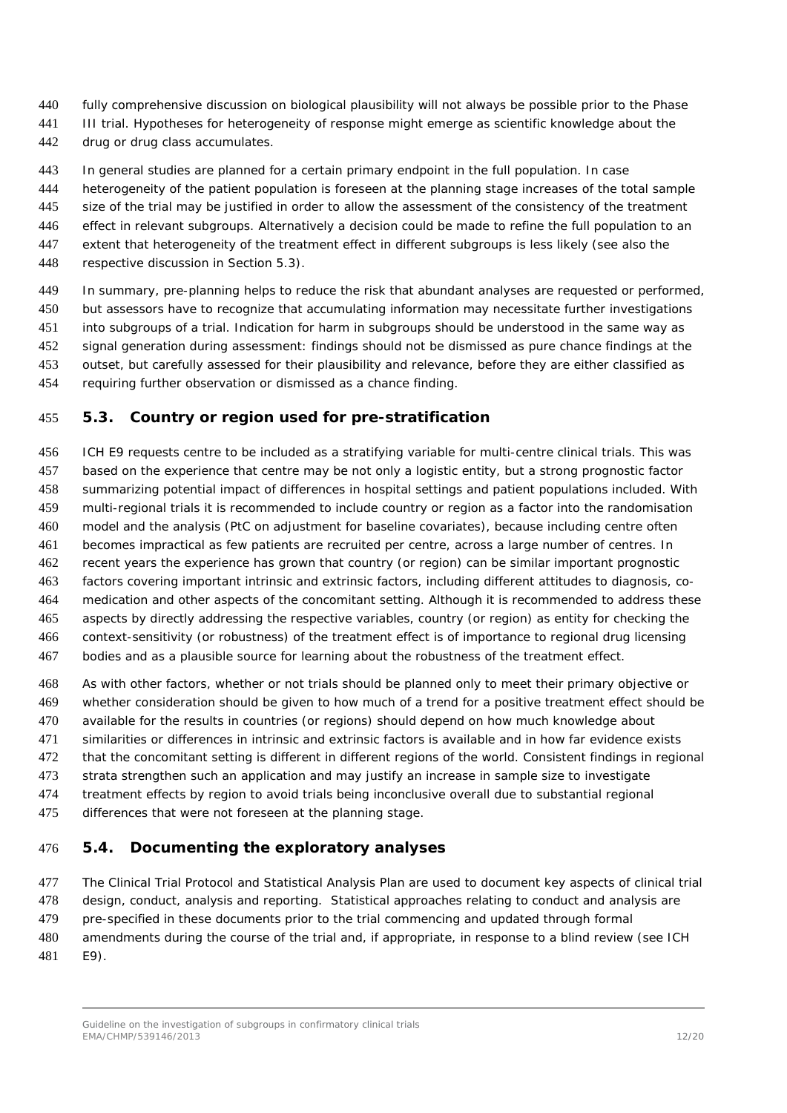- fully comprehensive discussion on biological plausibility will not always be possible prior to the Phase
- 441 III trial. Hypotheses for heterogeneity of response might emerge as scientific knowledge about the
- drug or drug class accumulates.
- In general studies are planned for a certain primary endpoint in the full population. In case
- heterogeneity of the patient population is foreseen at the planning stage increases of the total sample
- size of the trial may be justified in order to allow the assessment of the consistency of the treatment
- effect in relevant subgroups. Alternatively a decision could be made to refine the full population to an
- extent that heterogeneity of the treatment effect in different subgroups is less likely (see also the
- respective discussion in Section 5.3).
- In summary, pre-planning helps to reduce the risk that abundant analyses are requested or performed, but assessors have to recognize that accumulating information may necessitate further investigations into subgroups of a trial. Indication for harm in subgroups should be understood in the same way as signal generation during assessment: findings should not be dismissed as pure chance findings at the outset, but carefully assessed for their plausibility and relevance, before they are either classified as
- requiring further observation or dismissed as a chance finding.

#### <span id="page-11-0"></span>*5.3. Country or region used for pre-stratification*

- ICH E9 requests centre to be included as a stratifying variable for multi-centre clinical trials. This was based on the experience that centre may be not only a logistic entity, but a strong prognostic factor summarizing potential impact of differences in hospital settings and patient populations included. With multi-regional trials it is recommended to include country or region as a factor into the randomisation model and the analysis (PtC on adjustment for baseline covariates), because including centre often becomes impractical as few patients are recruited per centre, across a large number of centres. In recent years the experience has grown that country (or region) can be similar important prognostic factors covering important intrinsic and extrinsic factors, including different attitudes to diagnosis, co-464 medication and other aspects of the concomitant setting. Although it is recommended to address these aspects by directly addressing the respective variables, country (or region) as entity for checking the context-sensitivity (or robustness) of the treatment effect is of importance to regional drug licensing bodies and as a plausible source for learning about the robustness of the treatment effect.
- As with other factors, whether or not trials should be planned only to meet their primary objective or whether consideration should be given to how much of a trend for a positive treatment effect should be available for the results in countries (or regions) should depend on how much knowledge about similarities or differences in intrinsic and extrinsic factors is available and in how far evidence exists that the concomitant setting is different in different regions of the world. Consistent findings in regional strata strengthen such an application and may justify an increase in sample size to investigate treatment effects by region to avoid trials being inconclusive overall due to substantial regional
- differences that were not foreseen at the planning stage.

#### <span id="page-11-1"></span>*5.4. Documenting the exploratory analyses*

 The Clinical Trial Protocol and Statistical Analysis Plan are used to document key aspects of clinical trial design, conduct, analysis and reporting. Statistical approaches relating to conduct and analysis are pre-specified in these documents prior to the trial commencing and updated through formal amendments during the course of the trial and, if appropriate, in response to a blind review (see ICH E9).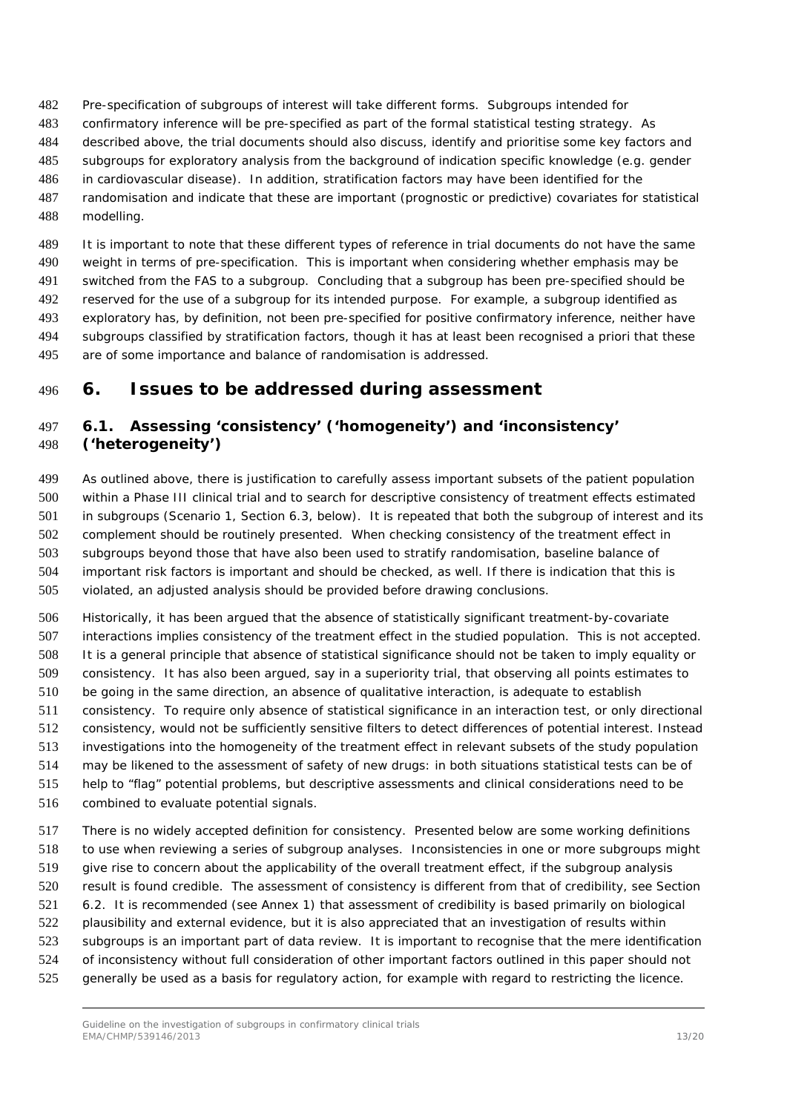- Pre-specification of subgroups of interest will take different forms. Subgroups intended for
- confirmatory inference will be pre-specified as part of the formal statistical testing strategy. As
- described above, the trial documents should also discuss, identify and prioritise some key factors and
- subgroups for exploratory analysis from the background of indication specific knowledge (e.g. gender
- in cardiovascular disease). In addition, stratification factors may have been identified for the
- randomisation and indicate that these are important (prognostic or predictive) covariates for statistical modelling.

 It is important to note that these different types of reference in trial documents do not have the same weight in terms of pre-specification. This is important when considering whether emphasis may be switched from the FAS to a subgroup. Concluding that a subgroup has been pre-specified should be reserved for the use of a subgroup for its intended purpose. For example, a subgroup identified as exploratory has, by definition, not been pre-specified for positive confirmatory inference, neither have subgroups classified by stratification factors, though it has at least been recognised *a priori* that these are of some importance and balance of randomisation is addressed.

# <span id="page-12-0"></span>**6. Issues to be addressed during assessment**

#### <span id="page-12-1"></span> *6.1. Assessing 'consistency' ('homogeneity') and 'inconsistency' ('heterogeneity')*

 As outlined above, there is justification to carefully assess important subsets of the patient population within a Phase III clinical trial and to search for descriptive consistency of treatment effects estimated in subgroups (Scenario 1, Section 6.3, below). It is repeated that both the subgroup of interest and its complement should be routinely presented. When checking consistency of the treatment effect in subgroups beyond those that have also been used to stratify randomisation, baseline balance of important risk factors is important and should be checked, as well. If there is indication that this is violated, an adjusted analysis should be provided before drawing conclusions.

 Historically, it has been argued that the absence of statistically significant treatment-by-covariate interactions implies consistency of the treatment effect in the studied population. This is not accepted. It is a general principle that absence of statistical significance should not be taken to imply equality or consistency. It has also been argued, say in a superiority trial, that observing all points estimates to be going in the same direction, an absence of qualitative interaction, is adequate to establish consistency. To require only absence of statistical significance in an interaction test, or only directional consistency, would not be sufficiently sensitive filters to detect differences of potential interest. Instead investigations into the homogeneity of the treatment effect in relevant subsets of the study population may be likened to the assessment of safety of new drugs: in both situations statistical tests can be of help to "flag" potential problems, but descriptive assessments and clinical considerations need to be combined to evaluate potential signals.

 There is no widely accepted definition for consistency. Presented below are some working definitions to use when reviewing a series of subgroup analyses. Inconsistencies in one or more subgroups might give rise to concern about the applicability of the overall treatment effect, if the subgroup analysis result is found credible. The assessment of consistency is different from that of credibility, see Section 6.2. It is recommended (see Annex 1) that assessment of credibility is based primarily on biological plausibility and external evidence, but it is also appreciated that an investigation of results within subgroups is an important part of data review. It is important to recognise that the mere identification of inconsistency without full consideration of other important factors outlined in this paper should not generally be used as a basis for regulatory action, for example with regard to restricting the licence.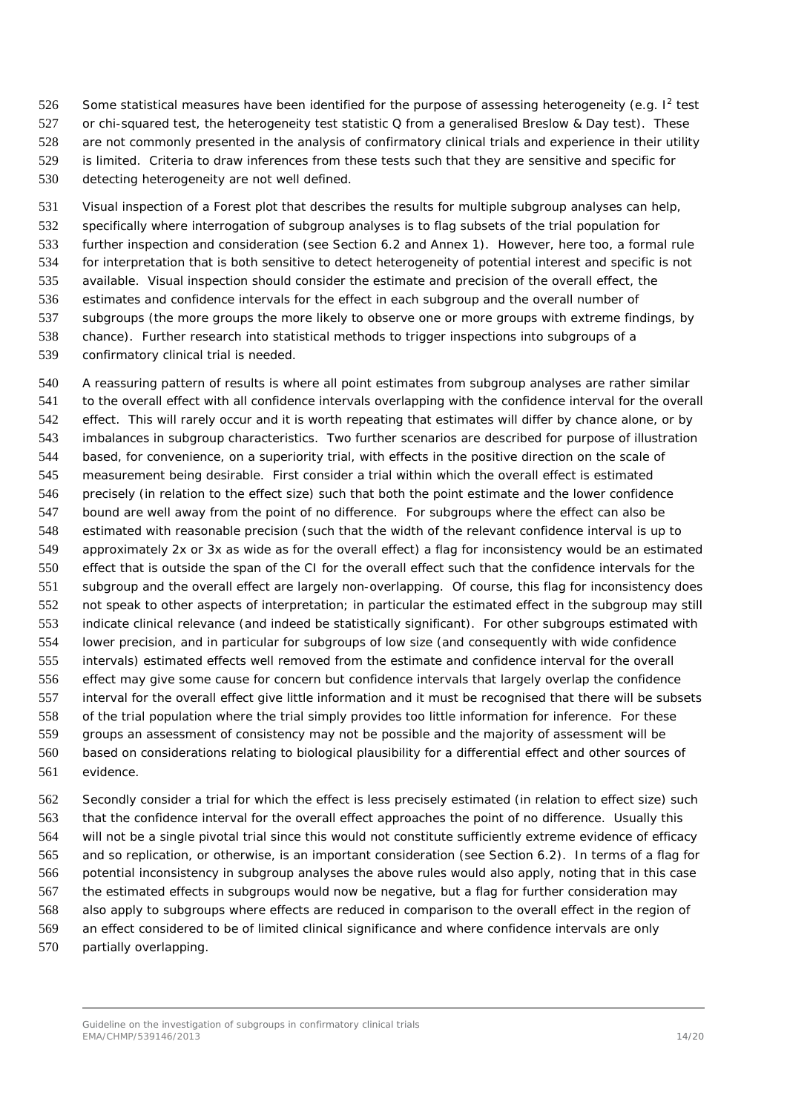526 Some statistical measures have been identified for the purpose of assessing heterogeneity (e.g.  $I^2$  test 527 or chi-squared test, the heterogeneity test statistic Q from a generalised Breslow & Day test). These are not commonly presented in the analysis of confirmatory clinical trials and experience in their utility is limited. Criteria to draw inferences from these tests such that they are sensitive and specific for

detecting heterogeneity are not well defined.

 Visual inspection of a Forest plot that describes the results for multiple subgroup analyses can help, specifically where interrogation of subgroup analyses is to flag subsets of the trial population for further inspection and consideration (see Section 6.2 and Annex 1). However, here too, a formal rule for interpretation that is both sensitive to detect heterogeneity of potential interest and specific is not available. Visual inspection should consider the estimate and precision of the overall effect, the estimates and confidence intervals for the effect in each subgroup and the overall number of subgroups (the more groups the more likely to observe one or more groups with extreme findings, by chance). Further research into statistical methods to trigger inspections into subgroups of a confirmatory clinical trial is needed.

 A reassuring pattern of results is where all point estimates from subgroup analyses are rather similar to the overall effect with all confidence intervals overlapping with the confidence interval for the overall effect. This will rarely occur and it is worth repeating that estimates will differ by chance alone, or by imbalances in subgroup characteristics. Two further scenarios are described for purpose of illustration based, for convenience, on a superiority trial, with effects in the positive direction on the scale of measurement being desirable. First consider a trial within which the overall effect is estimated precisely (in relation to the effect size) such that both the point estimate and the lower confidence bound are well away from the point of no difference. For subgroups where the effect can also be estimated with reasonable precision (such that the width of the relevant confidence interval is up to approximately 2x or 3x as wide as for the overall effect) a flag for inconsistency would be an estimated effect that is outside the span of the CI for the overall effect such that the confidence intervals for the subgroup and the overall effect are largely non-overlapping. Of course, this flag for inconsistency does not speak to other aspects of interpretation; in particular the estimated effect in the subgroup may still indicate clinical relevance (and indeed be statistically significant). For other subgroups estimated with lower precision, and in particular for subgroups of low size (and consequently with wide confidence intervals) estimated effects well removed from the estimate and confidence interval for the overall effect may give some cause for concern but confidence intervals that largely overlap the confidence interval for the overall effect give little information and it must be recognised that there will be subsets of the trial population where the trial simply provides too little information for inference. For these groups an assessment of consistency may not be possible and the majority of assessment will be based on considerations relating to biological plausibility for a differential effect and other sources of evidence.

 Secondly consider a trial for which the effect is less precisely estimated (in relation to effect size) such that the confidence interval for the overall effect approaches the point of no difference. Usually this will not be a single pivotal trial since this would not constitute sufficiently extreme evidence of efficacy and so replication, or otherwise, is an important consideration (see Section 6.2). In terms of a flag for potential inconsistency in subgroup analyses the above rules would also apply, noting that in this case the estimated effects in subgroups would now be negative, but a flag for further consideration may also apply to subgroups where effects are reduced in comparison to the overall effect in the region of an effect considered to be of limited clinical significance and where confidence intervals are only partially overlapping.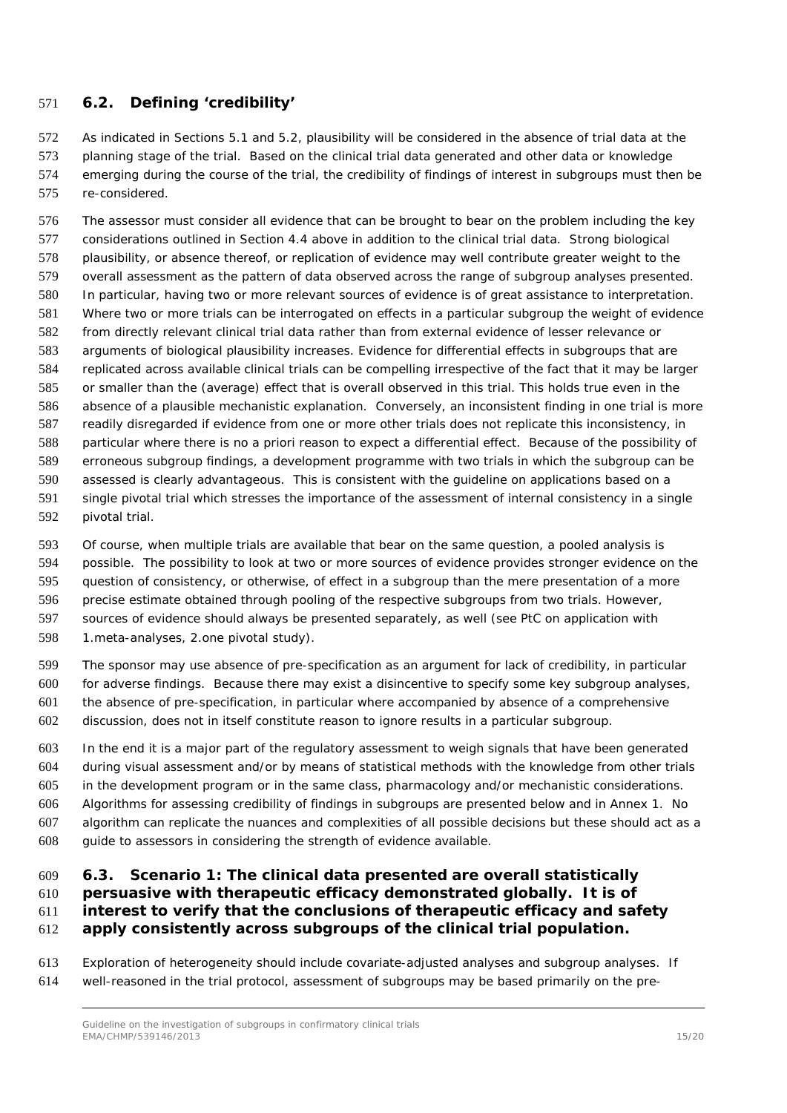#### <span id="page-14-0"></span>*6.2. Defining 'credibility'*

 As indicated in Sections 5.1 and 5.2, plausibility will be considered in the absence of trial data at the planning stage of the trial. Based on the clinical trial data generated and other data or knowledge emerging during the course of the trial, the credibility of findings of interest in subgroups must then be re-considered.

 The assessor must consider all evidence that can be brought to bear on the problem including the key considerations outlined in Section 4.4 above in addition to the clinical trial data. Strong biological plausibility, or absence thereof, or replication of evidence may well contribute greater weight to the overall assessment as the pattern of data observed across the range of subgroup analyses presented. In particular, having two or more relevant sources of evidence is of great assistance to interpretation. Where two or more trials can be interrogated on effects in a particular subgroup the weight of evidence from directly relevant clinical trial data rather than from external evidence of lesser relevance or arguments of biological plausibility increases. Evidence for differential effects in subgroups that are replicated across available clinical trials can be compelling irrespective of the fact that it may be larger or smaller than the (average) effect that is overall observed in this trial. This holds true even in the absence of a plausible mechanistic explanation. Conversely, an inconsistent finding in one trial is more readily disregarded if evidence from one or more other trials does not replicate this inconsistency, in particular where there is no *a priori* reason to expect a differential effect. Because of the possibility of erroneous subgroup findings, a development programme with two trials in which the subgroup can be assessed is clearly advantageous. This is consistent with the guideline on applications based on a single pivotal trial which stresses the importance of the assessment of internal consistency in a single pivotal trial.

 Of course, when multiple trials are available that bear on the same question, a pooled analysis is possible. The possibility to look at two or more sources of evidence provides stronger evidence on the question of consistency, or otherwise, of effect in a subgroup than the mere presentation of a more precise estimate obtained through pooling of the respective subgroups from two trials. However, sources of evidence should always be presented separately, as well (see PtC on application with 1.meta-analyses, 2.one pivotal study).

 The sponsor may use absence of pre-specification as an argument for lack of credibility, in particular for adverse findings. Because there may exist a disincentive to specify some key subgroup analyses, the absence of pre-specification, in particular where accompanied by absence of a comprehensive discussion, does not in itself constitute reason to ignore results in a particular subgroup.

 In the end it is a major part of the regulatory assessment to weigh signals that have been generated during visual assessment and/or by means of statistical methods with the knowledge from other trials in the development program or in the same class, pharmacology and/or mechanistic considerations. Algorithms for assessing credibility of findings in subgroups are presented below and in Annex 1. No algorithm can replicate the nuances and complexities of all possible decisions but these should act as a guide to assessors in considering the strength of evidence available.

#### <span id="page-14-1"></span> *6.3. Scenario 1: The clinical data presented are overall statistically persuasive with therapeutic efficacy demonstrated globally. It is of interest to verify that the conclusions of therapeutic efficacy and safety apply consistently across subgroups of the clinical trial population.*

 Exploration of heterogeneity should include covariate-adjusted analyses and subgroup analyses. If well-reasoned in the trial protocol, assessment of subgroups may be based primarily on the pre-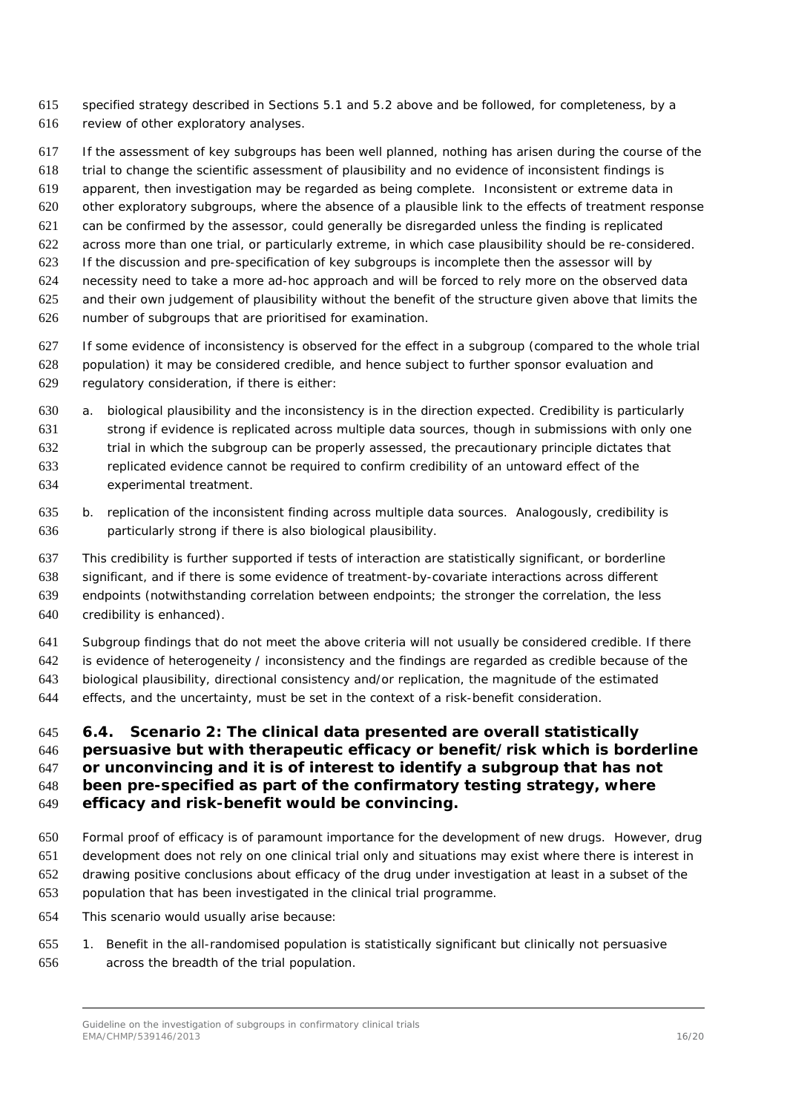- specified strategy described in Sections 5.1 and 5.2 above and be followed, for completeness, by a review of other exploratory analyses.
- If the assessment of key subgroups has been well planned, nothing has arisen during the course of the
- trial to change the scientific assessment of plausibility and no evidence of inconsistent findings is
- apparent, then investigation may be regarded as being complete. Inconsistent or extreme data in
- other exploratory subgroups, where the absence of a plausible link to the effects of treatment response
- can be confirmed by the assessor, could generally be disregarded unless the finding is replicated
- across more than one trial, or particularly extreme, in which case plausibility should be re-considered.
- If the discussion and pre-specification of key subgroups is incomplete then the assessor will by
- necessity need to take a more ad-hoc approach and will be forced to rely more on the observed data
- and their own judgement of plausibility without the benefit of the structure given above that limits the number of subgroups that are prioritised for examination.
- If some evidence of inconsistency is observed for the effect in a subgroup (compared to the whole trial population) it may be considered credible, and hence subject to further sponsor evaluation and regulatory consideration, if there is either:
- a. biological plausibility and the inconsistency is in the direction expected. Credibility is particularly strong if evidence is replicated across multiple data sources, though in submissions with only one trial in which the subgroup can be properly assessed, the precautionary principle dictates that replicated evidence cannot be required to confirm credibility of an untoward effect of the experimental treatment.
- b. replication of the inconsistent finding across multiple data sources. Analogously, credibility is particularly strong if there is also biological plausibility.
- This credibility is further supported if tests of interaction are statistically significant, or borderline
- significant, and if there is some evidence of treatment-by-covariate interactions across different
- endpoints (notwithstanding correlation between endpoints; the stronger the correlation, the less credibility is enhanced).
- Subgroup findings that do not meet the above criteria will not usually be considered credible. If there
- is evidence of heterogeneity / inconsistency and the findings are regarded as credible because of the
- biological plausibility, directional consistency and/or replication, the magnitude of the estimated
- effects, and the uncertainty, must be set in the context of a risk-benefit consideration.

### <span id="page-15-0"></span> *6.4. Scenario 2: The clinical data presented are overall statistically persuasive but with therapeutic efficacy or benefit/risk which is borderline or unconvincing and it is of interest to identify a subgroup that has not been pre-specified as part of the confirmatory testing strategy, where*

- *efficacy and risk-benefit would be convincing.*
- Formal proof of efficacy is of paramount importance for the development of new drugs. However, drug development does not rely on one clinical trial only and situations may exist where there is interest in
- drawing positive conclusions about efficacy of the drug under investigation at least in a subset of the
- population that has been investigated in the clinical trial programme.
- This scenario would usually arise because:
- 1. Benefit in the all-randomised population is statistically significant but clinically not persuasive across the breadth of the trial population.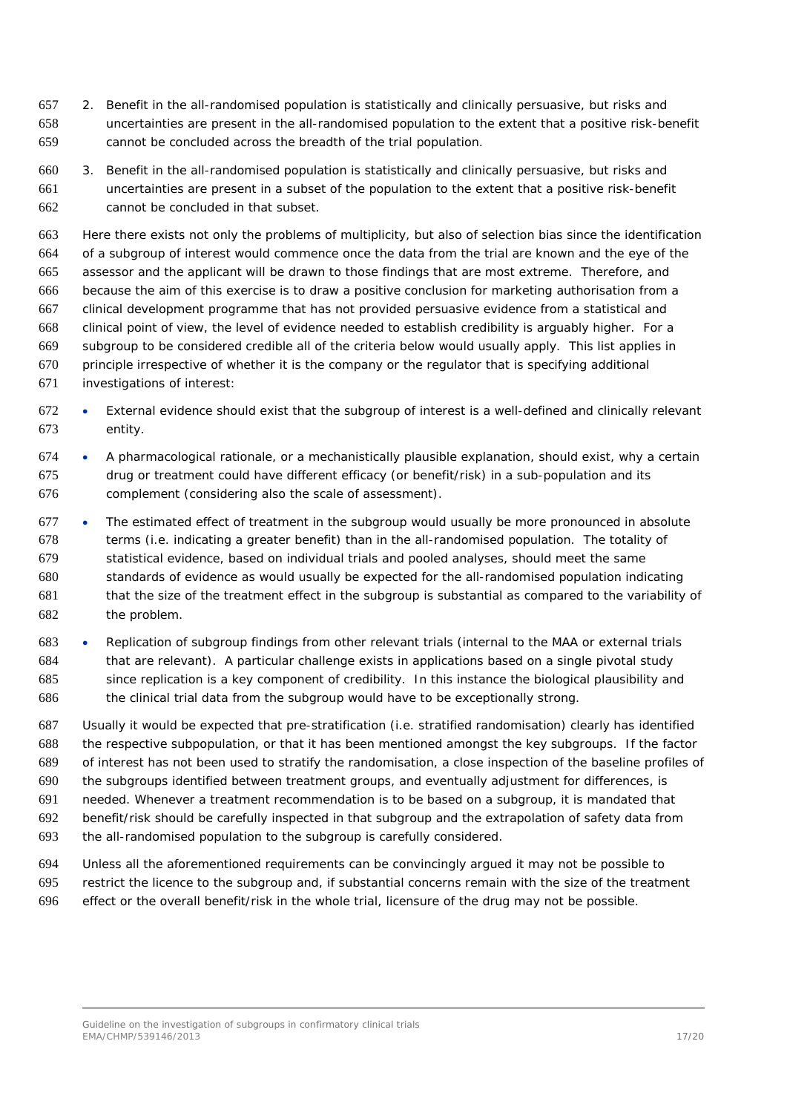- 2. Benefit in the all-randomised population is statistically and clinically persuasive, but risks and uncertainties are present in the all-randomised population to the extent that a positive risk-benefit cannot be concluded across the breadth of the trial population.
- 3. Benefit in the all-randomised population is statistically and clinically persuasive, but risks and uncertainties are present in a subset of the population to the extent that a positive risk-benefit cannot be concluded in that subset.

 Here there exists not only the problems of multiplicity, but also of selection bias since the identification of a subgroup of interest would commence once the data from the trial are known and the eye of the assessor and the applicant will be drawn to those findings that are most extreme. Therefore, and because the aim of this exercise is to draw a positive conclusion for marketing authorisation from a clinical development programme that has not provided persuasive evidence from a statistical and clinical point of view, the level of evidence needed to establish credibility is arguably higher. For a subgroup to be considered credible all of the criteria below would usually apply. This list applies in principle irrespective of whether it is the company or the regulator that is specifying additional investigations of interest:

- External evidence should exist that the subgroup of interest is a well-defined and clinically relevant entity.
- A pharmacological rationale, or a mechanistically plausible explanation, should exist, why a certain drug or treatment could have different efficacy (or benefit/risk) in a sub-population and its complement (considering also the scale of assessment).
- The estimated effect of treatment in the subgroup would usually be more pronounced in absolute terms (i.e. indicating a greater benefit) than in the all-randomised population. The totality of statistical evidence, based on individual trials and pooled analyses, should meet the same standards of evidence as would usually be expected for the all-randomised population indicating that the size of the treatment effect in the subgroup is substantial as compared to the variability of the problem.
- Replication of subgroup findings from other relevant trials (internal to the MAA or external trials that are relevant). A particular challenge exists in applications based on a single pivotal study since replication is a key component of credibility. In this instance the biological plausibility and the clinical trial data from the subgroup would have to be exceptionally strong.
- Usually it would be expected that pre-stratification (i.e. stratified randomisation) clearly has identified the respective subpopulation, or that it has been mentioned amongst the key subgroups. If the factor of interest has not been used to stratify the randomisation, a close inspection of the baseline profiles of the subgroups identified between treatment groups, and eventually adjustment for differences, is needed. Whenever a treatment recommendation is to be based on a subgroup, it is mandated that benefit/risk should be carefully inspected in that subgroup and the extrapolation of safety data from the all-randomised population to the subgroup is carefully considered.
- Unless all the aforementioned requirements can be convincingly argued it may not be possible to restrict the licence to the subgroup and, if substantial concerns remain with the size of the treatment effect or the overall benefit/risk in the whole trial, licensure of the drug may not be possible.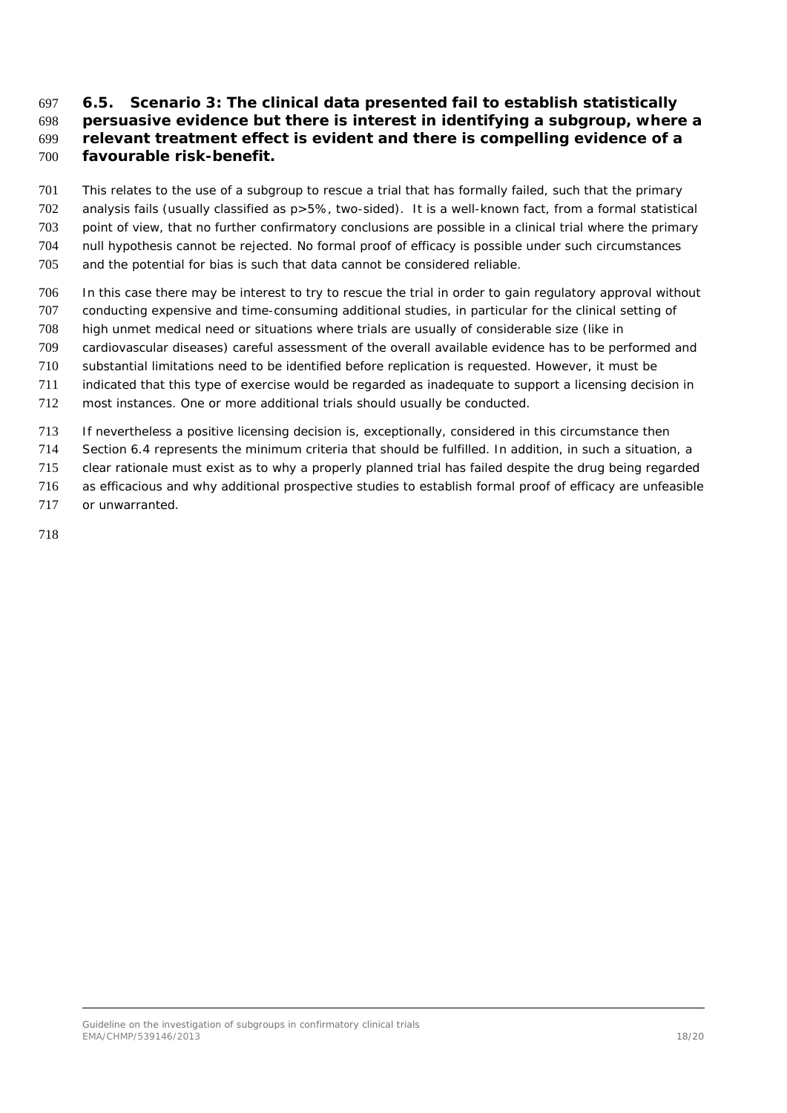#### <span id="page-17-0"></span> *6.5. Scenario 3: The clinical data presented fail to establish statistically persuasive evidence but there is interest in identifying a subgroup, where a relevant treatment effect is evident and there is compelling evidence of a favourable risk-benefit.*

 This relates to the use of a subgroup to rescue a trial that has formally failed, such that the primary analysis fails (usually classified as p>5%, two-sided). It is a well-known fact, from a formal statistical point of view, that no further confirmatory conclusions are possible in a clinical trial where the primary null hypothesis cannot be rejected. No formal proof of efficacy is possible under such circumstances and the potential for bias is such that data cannot be considered reliable.

- In this case there may be interest to try to rescue the trial in order to gain regulatory approval without
- conducting expensive and time-consuming additional studies, in particular for the clinical setting of high unmet medical need or situations where trials are usually of considerable size (like in
- cardiovascular diseases) careful assessment of the overall available evidence has to be performed and
- substantial limitations need to be identified before replication is requested. However, it must be
- indicated that this type of exercise would be regarded as inadequate to support a licensing decision in
- most instances. One or more additional trials should usually be conducted.
- If nevertheless a positive licensing decision is, exceptionally, considered in this circumstance then
- Section 6.4 represents the minimum criteria that should be fulfilled. In addition, in such a situation, a
- clear rationale must exist as to why a properly planned trial has failed despite the drug being regarded
- as efficacious and why additional prospective studies to establish formal proof of efficacy are unfeasible
- or unwarranted.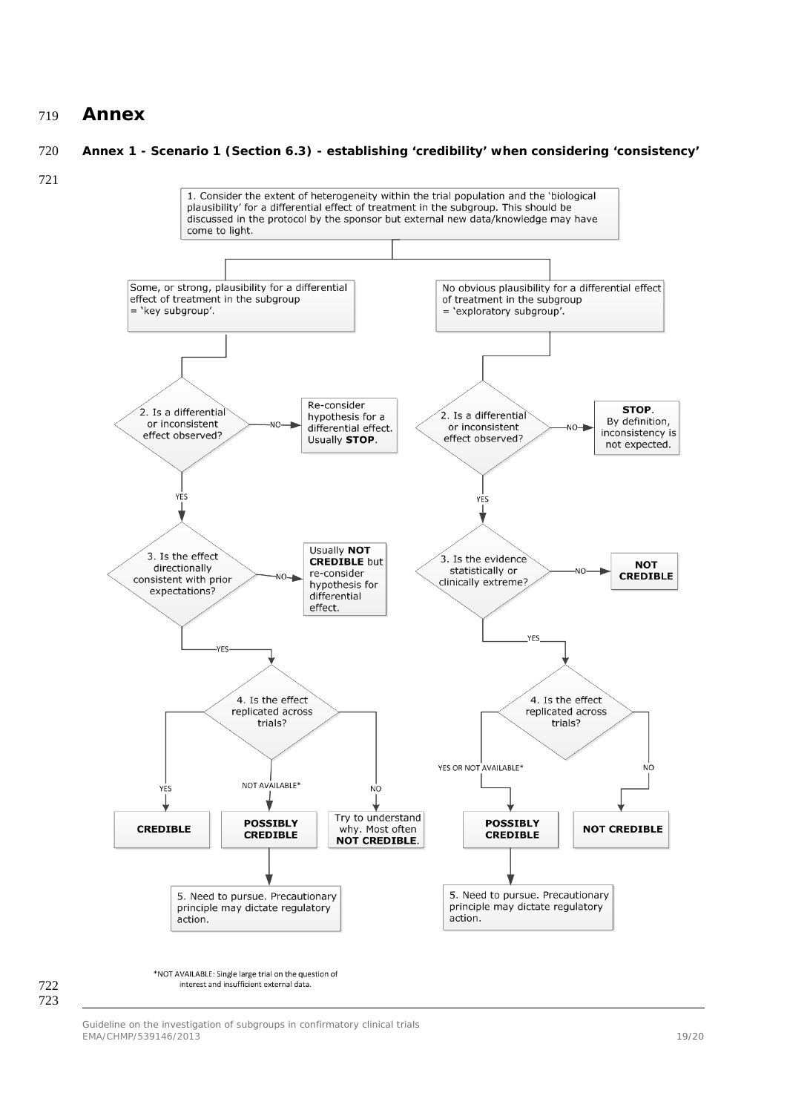#### <span id="page-18-0"></span>**Annex**

#### **Annex 1 - Scenario 1 (Section 6.3) - establishing 'credibility' when considering 'consistency'**





interest and insufficient external data